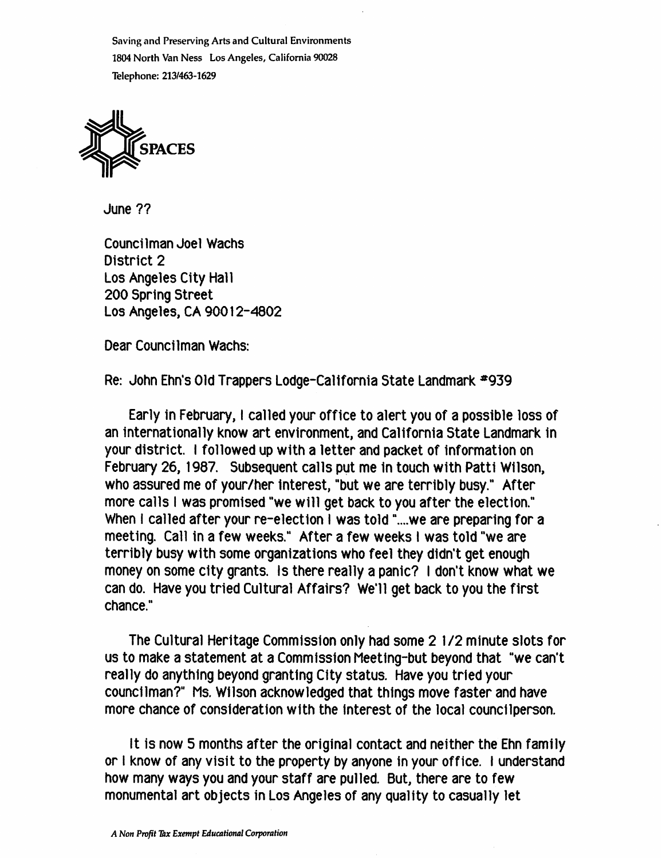Saving and Preserving Arts and Cultural Environments 1804 North Van Ness Los Angeles, California 90028 Telephone: 213/463-1629



June ??

Councilman Joel Wachs District 2 Los Angeles City Hall 200 Spring Street Los Angeles, CA 90012-4802

Dear Councilman Wachs:

Re; John Ehn's Old Trappers Lodge-Callfomia State Landmark \*939

Early in February, I called your office to alert you of a possible loss of an internationally know art environment, and California State Landmark In your district. I followed up with a letter and packet of information on February 26, 1987. Subsequent calls put me In touch with Patti Wilson, who assured me of your/her interest, "but we are terribly busy." After more calls I was promised "we will get back to you after the election." When I called after your re-election I was told "....we are preparing for a meeting. Call in a few weeks." After a few weeks I was told "we are terribly busy with some organizations who feel they didn't get enough money on some city grants. Is there really a panic? I don't know what we can do. Have you tried Cultural Affairs? We'll get back to you the first chance."

The Cultural Heritage Commission only had some 2 1/2 minute slots for us to make a statement at a Commission Meeting-but beyond that "we can't really do anything beyond granting City status. Have you tried your councilman?" Ms. Wilson acknowledged that things move faster and have more chance of consideration with the interest of the local councilperson.

It is now 5 months after the original contact and neither the Ehn family or I know of any visit to the property by anyone in your office. I understand how many ways you and your staff are pulled. But, there are to few monumental art objects in Los Angeles of any quality to casually let